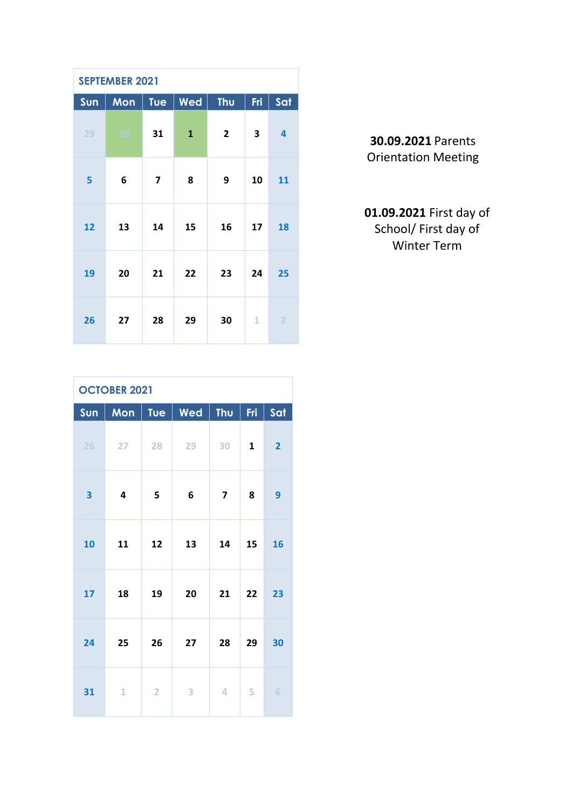| <b>SEPTEMBER 2021</b> |     |                         |              |     |     |                |  |  |
|-----------------------|-----|-------------------------|--------------|-----|-----|----------------|--|--|
| Sun                   | Mon | Tue                     | Wed          | Thu | Fri | Sat            |  |  |
| 29                    | 30  | 31                      | $\mathbf{1}$ | 2   | 3   | 4              |  |  |
| 5                     | 6   | $\overline{\mathbf{z}}$ | 8            | 9   | 10  | 11             |  |  |
| 12                    | 13  | 14                      | 15           | 16  | 17  | 18             |  |  |
| 19                    | 20  | 21                      | 22           | 23  | 24  | 25             |  |  |
| 26                    | 27  | 28                      | 29           | 30  | 1   | $\overline{2}$ |  |  |

**30.09.2021** Parents Orientation Meeting

## **01.09.2021** First day of School/ First day of Winter Term

| <b>OCTOBER 2021</b> |                 |                |            |                         |              |                |  |
|---------------------|-----------------|----------------|------------|-------------------------|--------------|----------------|--|
| Sun                 | Mon             | Tue            | $\mid$ Wed | <b>Thu</b>              | Fri          | Sat            |  |
| 26                  | 27 <sub>2</sub> | 28             | 29         | 30                      | $\mathbf{1}$ | $\overline{2}$ |  |
| 3                   | 4               | 5              | 6          | $\overline{\mathbf{z}}$ | 8            | 9              |  |
| 10                  | 11              | 12             | 13         | 14                      | 15           | 16             |  |
| 17                  | 18              | 19             | 20         | 21                      | 22           | 23             |  |
| 24                  | 25              | 26             | 27         | 28                      | 29           | 30             |  |
| 31                  | 1               | $\overline{2}$ | 3          | $\overline{4}$          | 5            | 6              |  |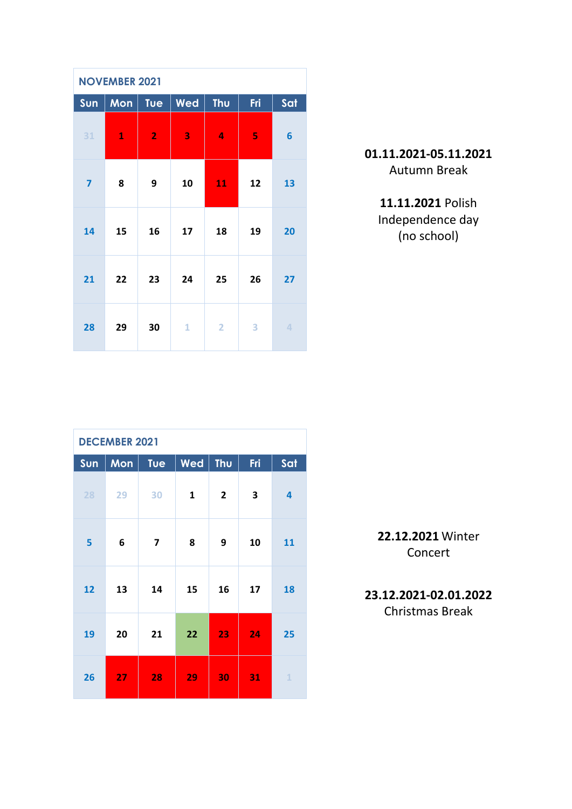| <b>NOVEMBER 2021</b>    |              |                |     |                |     |                 |  |  |  |
|-------------------------|--------------|----------------|-----|----------------|-----|-----------------|--|--|--|
| Sun                     | Mon          | <b>Tue</b>     | Wed | Thu            | Fri | Sat             |  |  |  |
| 31                      | $\mathbf{1}$ | $\overline{2}$ | 3   | 4              | 5   | $6\phantom{1}6$ |  |  |  |
| $\overline{\mathbf{z}}$ | 8            | 9              | 10  | 11             | 12  | 13              |  |  |  |
| 14                      | 15           | 16             | 17  | 18             | 19  | 20              |  |  |  |
| 21                      | 22           | 23             | 24  | 25             | 26  | 27              |  |  |  |
| 28                      | 29           | 30             | 1   | $\overline{2}$ | 3   | $\overline{4}$  |  |  |  |

## **01.11.2021-05.11.2021** Autumn Break

**11.11.2021** Polish Independence day (no school)

| <b>DECEMBER 2021</b> |     |            |              |                |     |                         |  |  |
|----------------------|-----|------------|--------------|----------------|-----|-------------------------|--|--|
| Sun                  | Mon | <b>Tue</b> | Wed          | Thu            | Fri | Sat                     |  |  |
| 28                   | 29  | 30         | $\mathbf{1}$ | $\overline{2}$ | 3   | $\overline{\mathbf{4}}$ |  |  |
| 5                    | 6   | 7          | 8            | 9              | 10  | 11                      |  |  |
| 12                   | 13  | 14         | 15           | 16             | 17  | 18                      |  |  |
| 19                   | 20  | 21         | 22           | 23             | 24  | 25                      |  |  |
| 26                   | 27  | 28         | 29           | 30             | 31  | $\mathbf{1}$            |  |  |

**22.12.2021** Winter Concert

**23.12.2021-02.01.2022**

Christmas Break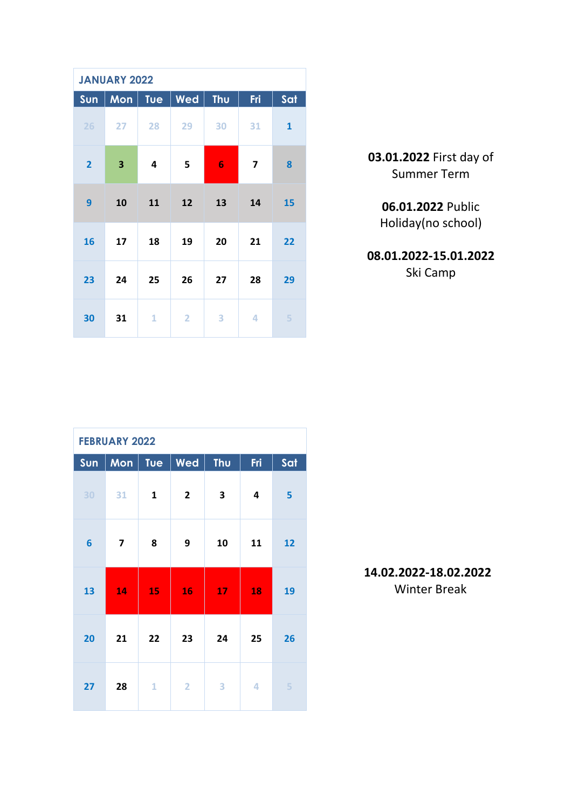| <b>JANUARY 2022</b> |                         |     |                |                |     |              |  |  |  |
|---------------------|-------------------------|-----|----------------|----------------|-----|--------------|--|--|--|
| Sun                 | Mon                     | Tue | Wed            | Thu            | Fri | Sat          |  |  |  |
| 26                  | 27                      | 28  | 29             | 30             | 31  | $\mathbf{1}$ |  |  |  |
| $\overline{2}$      | $\overline{\mathbf{3}}$ | 4   | 5              | $6\phantom{1}$ | 7   | 8            |  |  |  |
| 9                   | 10                      | 11  | 12             | 13             | 14  | 15           |  |  |  |
| 16                  | 17                      | 18  | 19             | 20             | 21  | 22           |  |  |  |
| 23                  | 24                      | 25  | 26             | 27             | 28  | 29           |  |  |  |
| 30                  | 31                      | 1   | $\overline{2}$ | 3              | 4   | 5            |  |  |  |

| 03.01.2022 First day of |
|-------------------------|
| <b>Summer Term</b>      |

**06.01.2022** Public Holiday(no school)

**08.01.2022-15.01.2022** Ski Camp

| <b>FEBRUARY 2022</b> |     |              |                |     |                         |     |  |  |
|----------------------|-----|--------------|----------------|-----|-------------------------|-----|--|--|
| Sun                  | Mon | Tue          | Wed            | Thu | Fri                     | Sat |  |  |
| 30                   | 31  | $\mathbf{1}$ | $\overline{2}$ | 3   | $\overline{\mathbf{4}}$ | 5   |  |  |
| $6\phantom{1}6$      | 7   | 8            | 9              | 10  | 11                      | 12  |  |  |
| 13                   | 14  | 15           | 16             | 17  | 18                      | 19  |  |  |
| 20                   | 21  | 22           | 23             | 24  | 25                      | 26  |  |  |
| 27                   | 28  | $\mathbf{1}$ | $\overline{2}$ | 3   | 4                       | 5   |  |  |

**14.02.2022-18.02.2022** Winter Break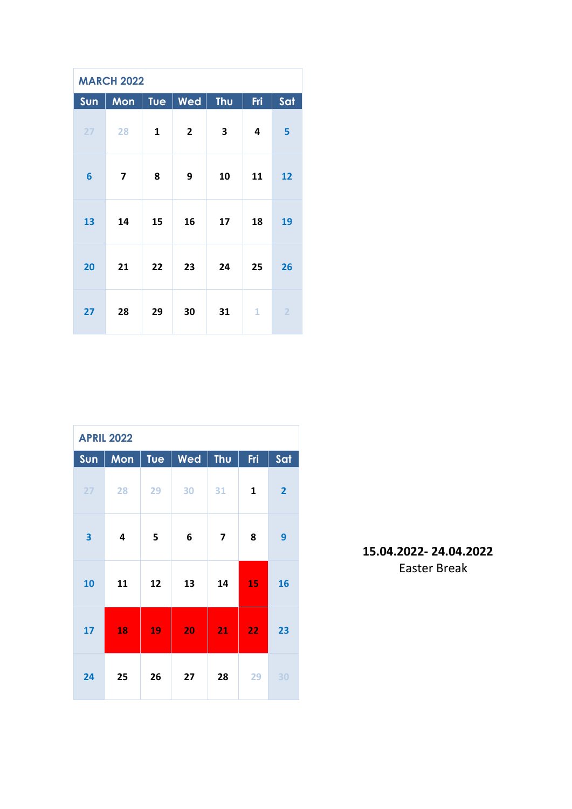| <b>MARCH 2022</b> |                         |     |              |     |     |                |  |  |
|-------------------|-------------------------|-----|--------------|-----|-----|----------------|--|--|
| Sun               | Mon                     | Tue | Wed          | Thu | Fri | Sat            |  |  |
| 27                | 28                      | 1   | $\mathbf{2}$ | 3   | 4   | 5              |  |  |
| $6\phantom{1}6$   | $\overline{\mathbf{z}}$ | 8   | 9            | 10  | 11  | 12             |  |  |
| 13                | 14                      | 15  | 16           | 17  | 18  | 19             |  |  |
| 20                | 21                      | 22  | 23           | 24  | 25  | 26             |  |  |
| 27                | 28                      | 29  | 30           | 31  | 1   | $\overline{2}$ |  |  |

| <b>APRIL 2022</b>       |     |            |     |                         |     |                |  |  |
|-------------------------|-----|------------|-----|-------------------------|-----|----------------|--|--|
| Sun                     | Mon | <b>Tue</b> | Wed | Thu                     | Fri | Sat            |  |  |
| 27                      | 28  | 29         | 30  | 31                      | 1   | $\overline{2}$ |  |  |
| $\overline{\mathbf{3}}$ | 4   | 5          | 6   | $\overline{\mathbf{z}}$ | 8   | 9              |  |  |
| 10                      | 11  | 12         | 13  | 14                      | 15  | 16             |  |  |
| 17                      | 18  | 19         | 20  | 21                      | 22  | 23             |  |  |
| 24                      | 25  | 26         | 27  | 28                      | 29  | 30             |  |  |

**15.04.2022- 24.04.2022** Easter Break